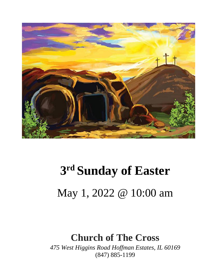

## **3 rd Sunday of Easter** May 1, 2022 @ 10:00 am

#### **Church of The Cross**

*475 West Higgins Road Hoffman Estates, IL 60169* (847) 885-1199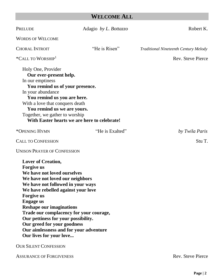#### **WELCOME ALL**

| PRELUDE                                                                                                                                                                                                                                                                                                                                                                                                                                                                                       | Adagio by L. Bottazzo                        | Robert K.                                    |
|-----------------------------------------------------------------------------------------------------------------------------------------------------------------------------------------------------------------------------------------------------------------------------------------------------------------------------------------------------------------------------------------------------------------------------------------------------------------------------------------------|----------------------------------------------|----------------------------------------------|
| <b>WORDS OF WELCOME</b>                                                                                                                                                                                                                                                                                                                                                                                                                                                                       |                                              |                                              |
| <b>CHORAL INTROIT</b>                                                                                                                                                                                                                                                                                                                                                                                                                                                                         | "He is Risen"                                | <b>Traditional Nineteenth Century Melody</b> |
| *CALL TO WORSHIP <sup>1</sup>                                                                                                                                                                                                                                                                                                                                                                                                                                                                 |                                              | <b>Rev.</b> Steve Pierce                     |
| Holy One, Provider<br>Our ever-present help.<br>In our emptiness<br>You remind us of your presence.<br>In your abundance<br>You remind us you are here.<br>With a love that conquers death<br>You remind us we are yours.<br>Together, we gather to worship                                                                                                                                                                                                                                   | With Easter hearts we are here to celebrate! |                                              |
| *OPENING HYMN                                                                                                                                                                                                                                                                                                                                                                                                                                                                                 | "He is Exalted"                              | by Twila Paris                               |
| <b>CALL TO CONFESSION</b>                                                                                                                                                                                                                                                                                                                                                                                                                                                                     |                                              | Stu T.                                       |
| <b>UNISON PRAYER OF CONFESSION</b>                                                                                                                                                                                                                                                                                                                                                                                                                                                            |                                              |                                              |
| <b>Lover of Creation,</b><br><b>Forgive us</b><br>We have not loved ourselves<br>We have not loved our neighbors<br>We have not followed in your ways<br>We have rebelled against your love<br><b>Forgive us</b><br><b>Engage us</b><br><b>Reshape our imaginations</b><br>Trade our complacency for your courage,<br>Our pettiness for your possibility.<br>Our greed for your goodness<br>Our aimlessness and for your adventure<br>Our lives for your love<br><b>OUR SILENT CONFESSION</b> |                                              |                                              |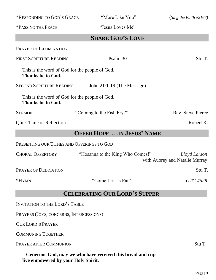**SHARE GOD'S LOVE** PRAYER OF ILLUMINATION FIRST SCRIPTURE READING Psalm 30 Stu T. This is the word of God for the people of God. **Thanks be to God.** SECOND SCRIPTURE READING John 21:1-19 (The Message) This is the word of God for the people of God. **Thanks be to God.** SERMON "Coming to the Fish Fry?" Rev. Steve Pierce Quiet Time of Reflection Robert K. **OFFER HOPE …IN JESUS' NAME** PRESENTING OUR TITHES AND OFFERINGS TO GOD CHORAL OFFERTORY "Hosanna to the King Who Comes!" *Lloyd Larson* with Aubrey and Natalie Murray PRAYER OF DEDICATION Stu T. \*HYMN "Come Let Us Eat" *GTG #528* **CELEBRATING OUR LORD'S SUPPER** INVITATION TO THE LORD'S TABLE

PRAYERS (JOYS, CONCERNS, INTERCESSIONS)

OUR LORD'S PRAYER

COMMUNING TOGETHER

**PRAYER AFTER COMMUNION** Stu T.

 **Generous God, may we who have received this bread and cup live empowered by your Holy Spirit.** 

#### \*RESPONDING TO GOD'S GRACE "More Like You" (*Sing the Faith #2167)*

\*PASSING THE PEACE "Jesus Loves Me"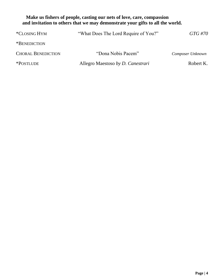#### **Make us fishers of people, casting our nets of love, care, compassion and invitation to others that we may demonstrate your gifts to all the world.**

| *CLOSING HYM              | "What Does The Lord Require of You?" | GTG #70          |
|---------------------------|--------------------------------------|------------------|
| *BENEDICTION              |                                      |                  |
| <b>CHORAL BENEDICTION</b> | "Dona Nobis Pacem"                   | Composer Unknown |
| *POSTLUDE                 | Allegro Maestoso by D. Canestrari    | Robert K.        |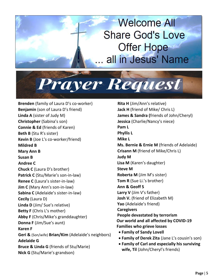## **Welcome All Share God's Love Offer Hope** all in Jesus' Name

Prayer Request

**Brenden** (family of Laura D's co-worker) **Benjamin** (son of Laura D's friend) **Linda A** (sister of Judy M) **Christopher** (Sabina's son) **Connie & Ed** (friends of Karen) **Beth B** (Stu R's sister) **Kevin B** (Joe L's co-worker/friend) **Mildred B Mary Ann B Susan B Andree C Chuck C** (Laura D's brother) **Patrick C** (Stu/Marie's son-in-law) **Renee C** (Laura's sister-in-law) **Jim C** (Mary Ann's son-in-law) **Sabina C** (Adelaide's sister-in-law) **Cecily** (Laura D) **Linda D** (Jim/ Sue's relative) **Betty F** (Chris L's mother) **Abby F** (Chris/Mike's granddaughter) **Donna F** (Jim/Sue's aunt) **Karen F Geri &** (Son/wife) **Brian/Kim** (Adelaide's neighbors) **Adelaide G Bruce & Linda G** (friends of Stu/Marie) **Nick G** (Stu/Marie's grandson)

**Rita H** (Jim/Ann's relative) **Jack H** (friend of Mike/ Chris L) **James & Sandra (**friends of John/Cheryl) **Jessica** (Charlie/Nancy's niece) **Pam L Phyllis L Mike L Ms. Bernie & Ernie M** (friends of Adelaide) **Crisann M** (friend of Mike/Chris L) **Judy M Lisa M** (Karen's daughter) **Steve M Roberta M** (Jim M's sister) **Tom R** (Sue Li.'s brother) **Ann & Geoff S Larry V** (Jim V's father) **Josh V.** (friend of Elizabeth M) **Yao** (Adelaide's friend) **Caregivers People devastated by terrorism Our world and all affected by COVID-19 Families who grieve losses** • **Family of Sandy Lovell** • **Family of Derek Zita** (Jane L's cousin's son)

• **Family of Carl and especially his surviving wife, Til** (John/Cheryl's friends)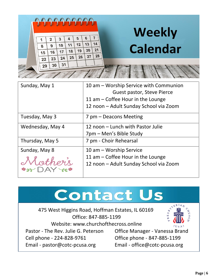|  |    |    | <u>AAAAAAA</u> |    |    |    |          | <b>Weekly</b>   |
|--|----|----|----------------|----|----|----|----------|-----------------|
|  |    |    |                | 4  | 5  | 6  |          |                 |
|  | 8  | 9  | 10             | 11 | 12 | 13 | 14       | <b>Calendar</b> |
|  | 15 | 16 | 17             | 18 | 19 | 20 | 21<br>28 |                 |
|  | 22 | 23 | 24             | 25 | 26 | 27 |          |                 |
|  | 29 | 30 | 31             |    |    |    |          |                 |
|  |    |    |                |    |    |    |          |                 |

| Sunday, May 1                                  | 10 am – Worship Service with Communion<br>Guest pastor, Steve Pierce<br>11 am $-$ Coffee Hour in the Lounge<br>12 noon - Adult Sunday School via Zoom |
|------------------------------------------------|-------------------------------------------------------------------------------------------------------------------------------------------------------|
| Tuesday, May 3                                 | 7 pm – Deacons Meeting                                                                                                                                |
| Wednesday, May 4                               | 12 noon – Lunch with Pastor Julie<br>7pm - Men's Bible Study                                                                                          |
| Thursday, May 5                                | 7 pm - Choir Rehearsal                                                                                                                                |
| Sunday, May 8<br>Mother's<br>$\rightarrow$ DAY | 10 am – Worship Service<br>11 am $-$ Coffee Hour in the Lounge<br>12 noon - Adult Sunday School via Zoom                                              |

## **Contact Us**

**AND REALLY**  475 West Higgins Road, Hoffman Estates, IL 60169 Office: 847-885-1199 Website: www.churchofthecross.online  $(USA)$ Pastor - The Rev. Julie G. Peterson Office Manager - Vanessa Brand Cell phone - 224-828-9761 Office phone - 847-885-1199 Email - [pastor@cotc-pcusa.org](mailto:pastor@cotc-pcusa.org) Email - [office@cotc-pcusa.org](mailto:office@cotc-pcusa.org)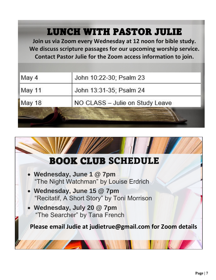### LUNCH WITH PASTOR JULIE

**Join us via Zoom every Wednesday at 12 noon for bible study. We discuss scripture passages for our upcoming worship service. Contact Pastor Julie for the Zoom access information to join.**

| May 4  | John 10:22-30; Psalm 23         |
|--------|---------------------------------|
| May 11 | John 13:31-35; Psalm 24         |
| May 18 | NO CLASS - Julie on Study Leave |
|        |                                 |

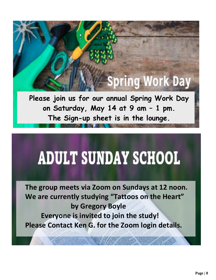# **Spring Work Day**

**Please join us for our annual Spring Work Day on Saturday, May 14 at 9 am – 1 pm. The Sign-up sheet is in the lounge.**

# **ADULT SUNDAY SCHOOL**

**The group meets via Zoom on Sundays at 12 noon. We are currently studying "Tattoos on the Heart" by Gregory Boyle Everyone is invited to join the study! Please Contact Ken G. for the Zoom login details.**